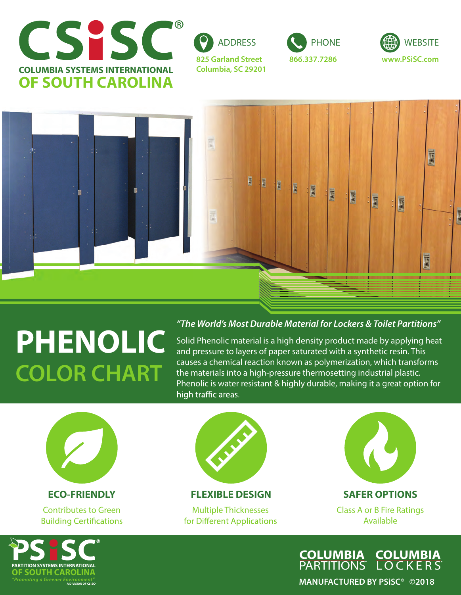









## **PHENOLIC COLOR CHART**

## *"The World's Most Durable Material for Lockers & Toilet Partitions"*

Solid Phenolic material is a high density product made by applying heat and pressure to layers of paper saturated with a synthetic resin. This causes a chemical reaction known as polymerization, which transforms the materials into a high-pressure thermosetting industrial plastic. Phenolic is water resistant & highly durable, making it a great option for high traffic areas.



Contributes to Green **Building Certifications** 



**ECO-FRIENDLY FLEXIBLE DESIGN SAFER OPTIONS**

for Different Applications



Multiple Thicknesses Class A or B Fire Ratings Available



**OCKERS COLUMBIA PARTITIONS COLUMBIA**

**MANUFACTURED BY PSiSC® ©2018**